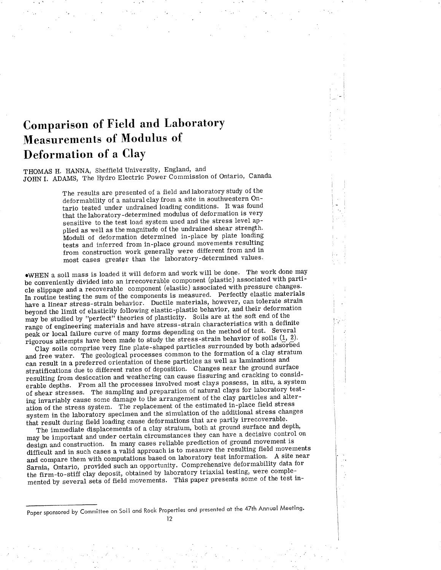# **Comparison of Field and Laboratory Measurements of Modulus of** Deformation of a Clay

THOMAS H. HANNA, Sheffield University, England, and JOHN I. ADAMS, The Hydro Electric Power Commission of Ontario, Canada

> The results are presented of a field and laboratory study of the deformability of a natural clay from a site in southwestern Ontario tested under undrained loading conditions. It was found that the laboratory-determined modulus of deformation is very sensitive to the test load system used and the stress level applied as well as the magnitude of the undrained shear strength. Moduli of deformation determined in-place by plate loading tests and inferred from in-place ground movements resulting from construction work generally were different from and in most cases greater than the laboratory-determined values.

.WHEN a soil mass is loaded it will deform and work will be done. The work done may be conveniently divided into an irrecoverable component (plastic) associated with particle slippage and a recoverable component (elastic) associated with pressure changes. In routine testing the sum of the components is measured. Perfectly elastic materials have a linear stress-strain behavior. Ductile materials, however, can tolerate strain beyond the limit of elasticity following elastic-plastic behavior, and their deformation may be studied by "perfect" theories of plasticity. Soils are at the soft end of the range of engineering materials and have stress-strain characteristics with a definite peak or local failure curve of many forms depending on the method of test. Several rigorous attempts have been made to study the stress-strain behavior of soils (1, 2).

Clay soils comprise very fine plate-shaped particles surrounded by both adsorbed and free water. The geological processes common to the formation of a clay stratum can result in a preferred orientation of these particles as well as laminations and stratifications due to different rates of deposition. Changes near the ground surface resulting from desiccation and weathering can cause fissuring and cracking to considerable depths. From all the processes involved most clays possess, in situ, a system of shear stresses. The sampling and preparation of natural clays for laboratory testing invariably cause some damage to the arrangement of the clay particles and alteration of the stress system. The replacement of the estimated in-place field stress system in the laboratory specimen and the simulation of the additional stress changes that result during field loading cause deformations that are partly irrecoverable.

The immediate displacements of a clay stratum, both at ground surface and depth, may be important and under certain circumstances they can have a decisive control on design and construction. In many cases reliable prediction of ground movement is difficult and in such cases a valid approach is to measure the resulting field movements and compare them with computations based on laboratory test information. A site near Sarnia, Ontario, provided such an opportunity. Comprehensive deformability data for the firm-to-stiff clay deposit, obtained by laboratory triaxial testing, were complemented by several sets of field movements. This paper presents some of the test in-

Paper sponsored by Committee on Soil and Rock Properties and presented at the 47th Annual Meeting.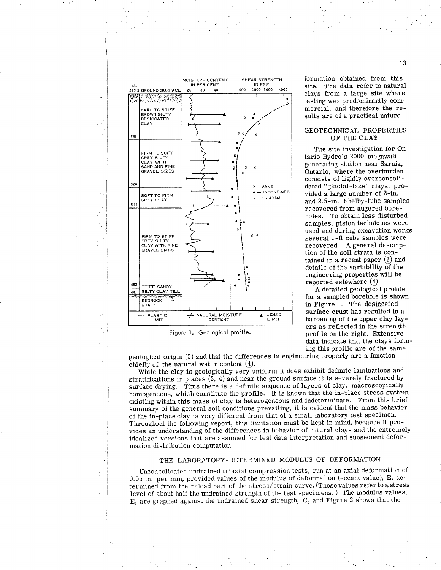

Figure 1. Geological profile.

 $\ddotsc$ 

formation obtained from this site. The data refer to natural clavs from a large site where testing was predominantly commercial, and therefore the results are of a practical nature.

## GEOTECHNICAL PROPERTIES OF THE CLAY

The site investigation for Ontario Hydro's 2000-megawatt generating station near Sarnia, Ontario, where the overburden consists of lightly overconsolidated "glacial-lake" clays, provided a large number of 2-in. and 2.5-in. Shelby-tube samples recovered from augered boreholes. To obtain less disturbed samples, piston techniques were used and during excavation works several 1-ft cube samples were recovered. A general description of the soil strata is contained in a recent paper (3) and details of the variability of the engineering properties will be reported eslewhere (4).

A detailed geological profile for a sampled borehole is shown in Figure 1. The desiccated surface crust has resulted in a hardening of the upper clay layers as reflected in the strength profile on the right. Extensive data indicate that the clays forming this profile are of the same

geological origin (5) and that the differences in engineering property are a function chiefly of the natural water content  $(4)$ .

While the clay is geologically very uniform it does exhibit definite laminations and stratifications in places (3, 4) and near the ground surface it is severely fractured by surface drying. Thus there is a definite sequence of layers of clay, macroscopically homogeneous, which constitute the profile. It is known that the in-place stress system existing within this mass of clay is heterogeneous and indeterminate. From this brief summary of the general soil conditions prevailing, it is evident that the mass behavior of the in-place clay is very different from that of a small laboratory test specimen. Throughout the following report, this limitation must be kept in mind, because it provides an understanding of the differences in behavior of natural clays and the extremely idealized versions that are assumed for test data interpretation and subsequent deformation distribution computation.

# THE LABORATORY-DETERMINED MODULUS OF DEFORMATION

Unconsolidated undrained triaxial compression tests, run at an axial deformation of 0.05 in. per min, provided values of the modulus of deformation (secant value), E, determined from the reload part of the stress/strain curve. (These values refer to a stress level of about half the undrained strength of the test specimens.) The modulus values, E, are graphed against the undrained shear strength, C, and Figure 2 shows that the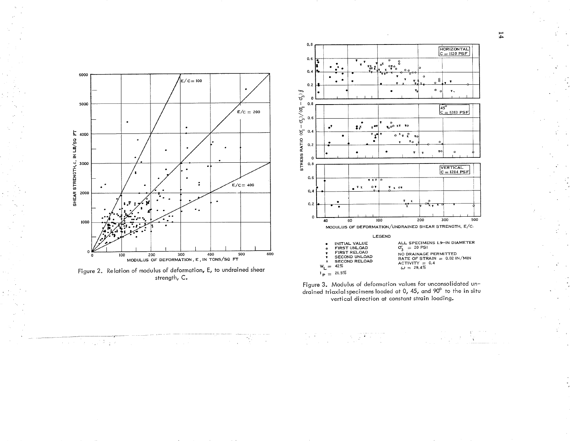

Figure 2. Relation of modulus of deformation, E, to undrained shear strength, C.

 $\frac{1}{2}$  , and  $\frac{1}{2}$  , and  $\frac{1}{2}$ 

 $\alpha = 1, \ldots, n$ 

a a shekarar 1990)<br>Marejeo





 $\vec{14}$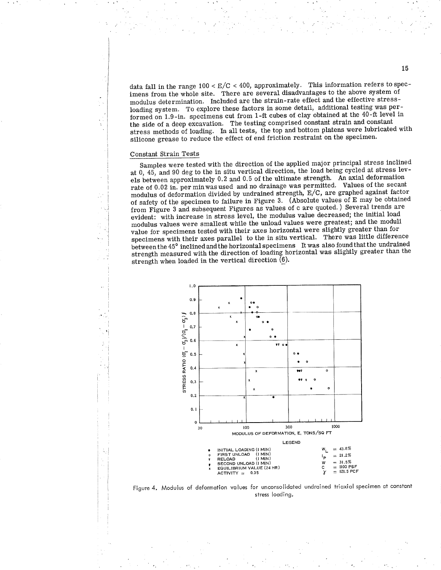data fall in the range  $100 < E/C < 400$ , approximately. This information refers to specimens from the whole site. There are several disadvantages to the above system of modulus determination. Included are the strain-rate effect and the effective stressloading system. To explore these factors in some detail, additional testing was performed on 1.9-in. specimens cut from 1-ft cubes of clay obtained at the 40-ft level in the side of a deep excavation. The testing comprised constant strain and constant stress methods of loading. In all tests, the top and bottom platens were lubricated with silicone grease to reduce the effect of end friction restraint on the specimen.

# Constant Strain Tests

 $\ddot{\phantom{a}}$ 

Samples were tested with the direction of the applied major principal stress inclined at 0, 45, and 90 deg to the in situ vertical direction, the load being cycled at stress levels between approximately 0.2 and 0.5 of the ultimate strength. An axial deformation rate of 0.02 in. per min was used and no drainage was permitted. Values of the secant modulus of deformation divided by undrained strength, E/C, are graphed against factor of safety of the specimen to failure in Figure 3. (Absolute values of E may be obtained from Figure 3 and subsequent Figures as values of c are quoted.) Several trends are evident: with increase in stress level, the modulus value decreased; the initial load modulus values were smallest while the unload values were greatest; and the moduli value for specimens tested with their axes horizontal were slightly greater than for specimens with their axes parallel to the in situ vertical. There was little difference between the 45° inclined and the horizontal specimens It was also found that the undrained strength measured with the direction of loading horizontal was slightly greater than the strength when loaded in the vertical direction (6).



Figure 4. Modulus of deformation values for unconsolidated undrained triaxial specimen at constant stress loading.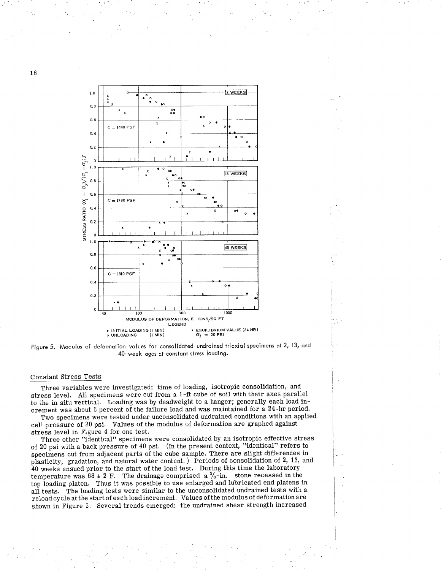





# **Constant Stress Tests**

Three variables were investigated: time of loading, isotropic consolidation, and stress level. All specimens were cut from a 1-ft cube of soil with their axes parallel to the in situ vertical. Loading was by deadweight to a hanger; generally each load increment was about 6 percent of the failure load and was maintained for a 24-hr period.

Two specimens were tested under unconsolidated undrained conditions with an applied cell pressure of 20 psi. Values of the modulus of deformation are graphed against stress level in Figure 4 for one test.

Three other "identical" specimens were consolidated by an isotropic effective stress of 20 psi with a back pressure of 40 psi. (In the present context, "identical" refers to specimens cut from adjacent parts of the cube sample. There are slight differences in plasticity, gradation, and natural water content.) Periods of consolidation of 2, 13, and 40 weeks ensued prior to the start of the load test. During this time the laboratory temperature was  $68 \pm 2$  F. The drainage comprised a  $\frac{9}{6}$ -in. stone recessed in the top loading platen. Thus it was possible to use enlarged and lubricated end platens in all tests. The loading tests were similar to the unconsolidated undrained tests with a reload cycle at the start of each load increment. Values of the modulus of deformation are shown in Figure 5. Several trends emerged: the undrained shear strength increased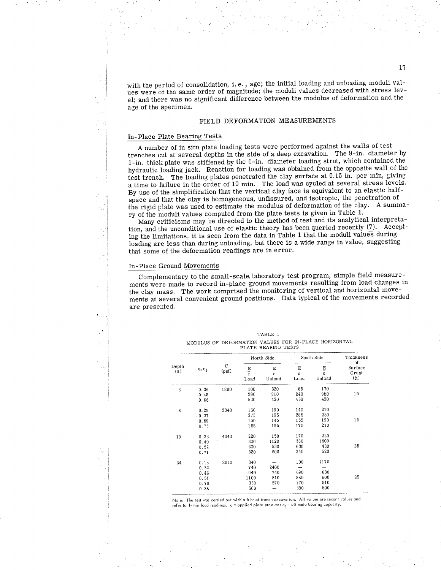with the period of consolidation, i.e., age; the initial loading and unloading moduli values were of the same order of magnitude; the moduli values decreased with stress leveI; and there was no significant difference between the modulus of deformation and the age of the specimen.

### FIELD DEFORMATION MEASUREMENTS

#### In-PIase Plate Bearing Tests

A number of in situ plate loading tests were performed against the walls of test trenches cut at several depths in the side of a deep excavation. The 9-in. diameter by 1-in. thick plate was stiffened by the 6-in. diameter loading strut, which contained the hydraulic loading jack. Reaction for loading was obtained from the opposite wall of the test trench. The loading plates penetrated the clay surface at 0.15 in. per min, giving <sup>a</sup>time to failure in the õrder of 10 min. The load was cycled at several stress levels. By use of the simptification that the vertical clay face is equivalent to an elastic halfspace and that the clay is homogeneous, unfissured, and isotropic, the penetration of the rigid plate was used to estimate the modulus of deformation of the clay. A summary of the moduli values computed from the plate tests is given in Table 1.

Many criticisms may be directed to the method of test and its analytical interpretation, and the unconditional use of elastic theory has been queried recently  $(7)$ . Accepting the limitations, it is seen from the data in Table 1 that the moduli values during loading are less than during unloading, but there is a wide range in value, suggesting that some of the deformation readings are in error.

#### In-Place Ground Movements

 $\ddot{\phantom{a}}$ 

Complementary to the small-scale. laboratory test program, simple field measurements were made to record in-place ground movements resulting from load changes in the clay mass. The work comprised the monitoring of vertical and horizontal movements at several convenient ground positions. Data typical of the movements recorded are presented.

| LEUIS DEUTINA<br>1 <b>ED 1 P</b> |                                              |            |                                         |                           |                                 |                                  |                                       |  |  |
|----------------------------------|----------------------------------------------|------------|-----------------------------------------|---------------------------|---------------------------------|----------------------------------|---------------------------------------|--|--|
| Depth<br>(f <sub>t</sub> )       | $q/q_f$                                      | С<br>(psf) | North Side                              |                           | South Side                      |                                  | Thickness<br>οf                       |  |  |
|                                  |                                              |            | $\frac{E}{c}$<br>Load                   | $\frac{E}{c}$<br>Unload   | $\frac{E}{c}$<br>Load           | $\frac{E}{c}$<br>Unload          | Surface<br>Crust<br>(f <sub>t</sub> ) |  |  |
| 8                                | 0.36<br>0.48<br>0.66                         | 1800       | 100<br>290<br>520                       | 320<br>910<br>420         | 85<br>240<br>430                | 170<br>980<br>420                | 15                                    |  |  |
| δ                                | 0.28<br>0.37<br>0.59<br>0.75                 | 2340       | 160<br>275<br>150<br>165                | 190<br>195<br>145<br>195  | 140<br>285<br>155<br>170        | 210<br>230<br>190<br>210         | 15                                    |  |  |
| 19                               | 0.23<br>0.40<br>0.52<br>0.71                 | 4040       | 220<br>300<br>300<br>320                | 150<br>1120<br>530<br>600 | 170<br>380<br>630<br>240        | 230<br>1600<br>430<br>520        | 25                                    |  |  |
| 34                               | 0.18<br>0.32<br>0.46<br>0.51<br>0.76<br>0.86 | 2010       | 340<br>740<br>940<br>1100<br>330<br>500 | 2400<br>740<br>610<br>570 | 100<br>690<br>880<br>170<br>380 | 1170<br>630<br>800<br>510<br>500 | 25                                    |  |  |

TABLE <sup>1</sup> MODULUS OF DEFORMATION VALUES FOR IN-PLACE HORIZONTAL PLATE BEARING TESTS

Note: The tesl wos corried out within ó hr of trench excovotion. All volues ore secont volues ond refer to 1-min lood readings.  $q$  = applied plate pressure;  $q_{\rm f}$  = ultimate bearing capacity.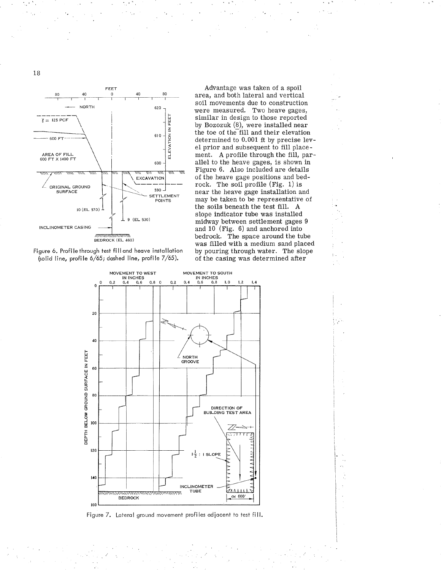

Advantage was taken of a spoil area, and both lateral and vertical soil movements due to construction were measured. Two heave gages, similar in design to those reported by Bozozuk  $(8)$ , were installed near the toe of the fill and their elevation determined to 0.001 ft by precise level prior and subsequent to fill placement. A profile through the fill, parallel to the heave gages, is shown in Figure 6. Also included are details of the heave gage positions and bedrock. The soil profile  $(Fig. 1)$  is near the heave gage installation and may be taken to be representative of the soils beneath the test fill. A slope indicator tube was installed midway between settlement gages 9 and 10 (Fig. 6) and anchored into bedrock. The space around the tube was filled with a medium sand placed by pouring through water. The slope of the casing was determined after

Figure 6. Profile through test fill and heave installation (solid line, profile 6/65; dashed line, profile 7/65).



Figure 7. Lateral ground movement profiles adjacent to test fill.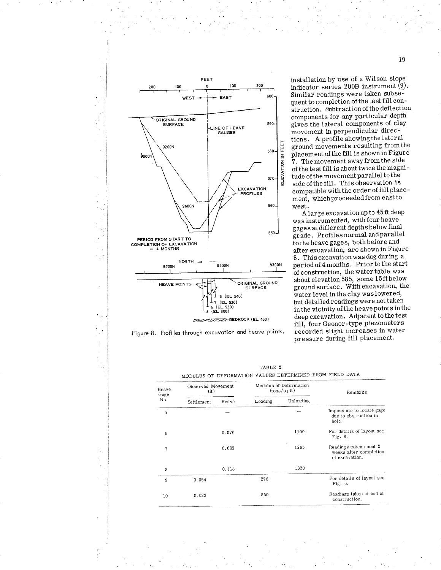



Ĩ

 $\ddotsc$ 

 $\pmb{\varsigma}$ 

installation by use of a Wilson slope indicator series 200B instrument (9). Similar readings were taken subsequent to completion of the test fill construction. Subtraction of the deflection components for any particular depth gives the lateral components of clay movement in perpendicular directions. A profile showing the lateral ground movements resulting from the placement of the fill is shown in Figure 7. The movement away from the side of the test fill is about twice the magnitude of the movement parallel to the side of the fill. This observation is compatible with the order of fill placement, which proceeded from east to west.

A large excavation up to 45 ft deep was instrumented, with four heave gages at different depths below final grade. Profiles normal and parallel to the heave gages, both before and after excavation, are shown in Figure 8. This excavation was dug during a period of 4 months. Prior to the start of construction, the water table was about elevation 585, some 15 ft below ground surface. With excavation, the water level in the clay was lowered, but detailed readings were not taken in the vicinity of the heave points in the deep excavation. Adjacent to the test fill, four Geonor-type piezometers recorded slight increases in water pressure during fill placement.

| Ieave<br>Fage<br>No. | Observed Movement<br>(f <sub>t</sub> ) |       |         | Modulus of Deformation<br>$(tons/sq$ ft) | Remarks                                                            |
|----------------------|----------------------------------------|-------|---------|------------------------------------------|--------------------------------------------------------------------|
|                      | Settlement                             | Heave | Loading | Unloading                                |                                                                    |
| 5                    |                                        |       |         |                                          | Impossible to locate gage<br>due to obstruction in<br>hole.        |
| 6                    |                                        | 0.076 |         | 1100                                     | For details of layout see<br>Fig. $8.$                             |
| 7                    |                                        | 0.089 |         | 1265                                     | Readings taken about 2<br>weeks after completion<br>of excavation. |
| 8                    |                                        | 0.118 |         | 1320                                     |                                                                    |
| 9                    | 0.054                                  |       | 276     |                                          | For details of layout see<br>Fig. $6.$                             |
| 10                   | 0.022                                  |       | 850     |                                          | Readings taken at end of<br>construction.                          |

TABLE 2 MODULUS OF DEFORMATION VALUES DETERMINED FROM FIELD DATA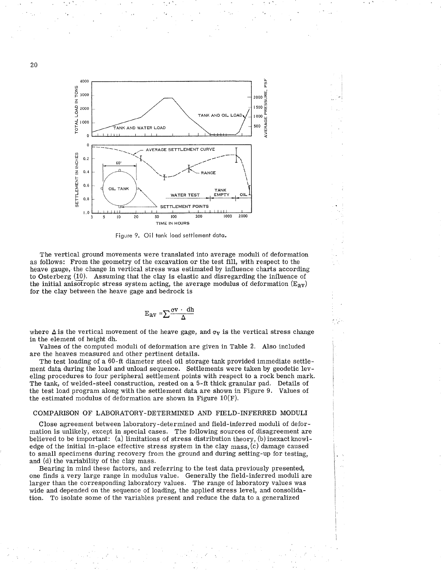

Figure 9. Oil tank load settlement data.

The vertical ground movements were translated into average moduli of deformation as follows: From the geometry of the excavation or the test fill, with respect to the heave gauge, the change in vertical stress was estimated by influence charts according to Osterberg (10). Assuming that the clay is elastic and disregarding the influence of the initial anisotropic stress system acting, the average modulus of deformation  $(E_{av})$ for the clay between the heave gage and bedrock is

$$
E_{av} = \sum \frac{\sigma v \cdot dh}{\Delta}
$$

where  $\Delta$  is the vertical movement of the heave gage, and  $\sigma_V$  is the vertical stress change in the element of height dh.

Values of the computed moduli of deformation are given in Table 2. Also included are the heaves measured and other pertinent details.

The test loading of a 60-ft diameter steel oil storage tank provided immediate settlement data during the load and unload sequence. Settlements were taken by geodetic leveling procedures to four peripheral settlement points with respect to a rock bench mark. The tank, of welded-steel construction, rested on a 5-ft thick granular pad. Details of the test load program along with the settlement data are shown in Figure 9. Values of the estimated modulus of deformation are shown in Figure  $10(F)$ .

## COMPARISON OF LABORATORY-DETERMINED AND FIELD-INFERRED MODULI

Close agreement between laboratory-determined and field-inferred moduli of deformation is unlikely, except in special cases. The following sources of disagreement are believed to be important: (a) limitations of stress distribution theory, (b) inexact knowledge of the initial in-place effective stress system in the clay mass,  $(c)$  damage caused to small specimens during recovery from the ground and during setting-up for testing, and (d) the variability of the clay mass.

Bearing in mind these factors, and referring to the test data previously presented, one finds a very large range in modulus value. Generally the field-inferred moduli are larger than the corresponding laboratory values. The range of laboratory values was wide and depended on the sequence of loading, the applied stress level, and consolidation. To isolate some of the variables present and reduce the data to a generalized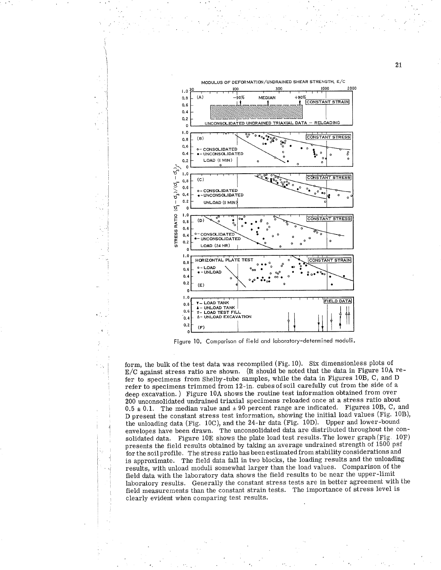

Figure 10. Comparison of field and laboratory-determined moduli.

form, the bulk of the test data was recompiled (Fig. 10). Six dimensionless plots of E/C against stress ratio are shown. (It should be noted that the data in Figure 10A refer to specimens from Shelby-tube samples, while the data in Figures 10B, C, and D refer to specimens trimmed from 12-in. cubes of soil carefully cut from the side of a deep excavation.) Figure 10A shows the routine test information obtained from over 200 unconsolidated undrained triaxial specimens reloaded once at a stress ratio about  $0.5 \pm 0.1$ . The median value and  $\pm 90$  percent range are indicated. Figures 10B, C, and D present the constant stress test information, showing the initial load values (Fig. 10B), the unloading data (Fig. 10C), and the 24-hr data (Fig. 10D). Upper and lower-bound envelopes have been drawn. The unconsolidated data are distributed throughout the consolidated data. Figure 10E shows the plate load test results. The lower graph (Fig. 10F) presents the field results obtained by taking an average undrained strength of 1500 psf for the soil profile. The stress ratio has been estimated from stability considerations and is approximate. The field data fall in two blocks, the loading results and the unloading results, with unload moduli somewhat larger than the load values. Comparison of the field data with the laboratory data shows the field results to be near the upper-limit laboratory results. Generally the constant stress tests are in better agreement with the field measurements than the constant strain tests. The importance of stress level is clearly evident when comparing test results.